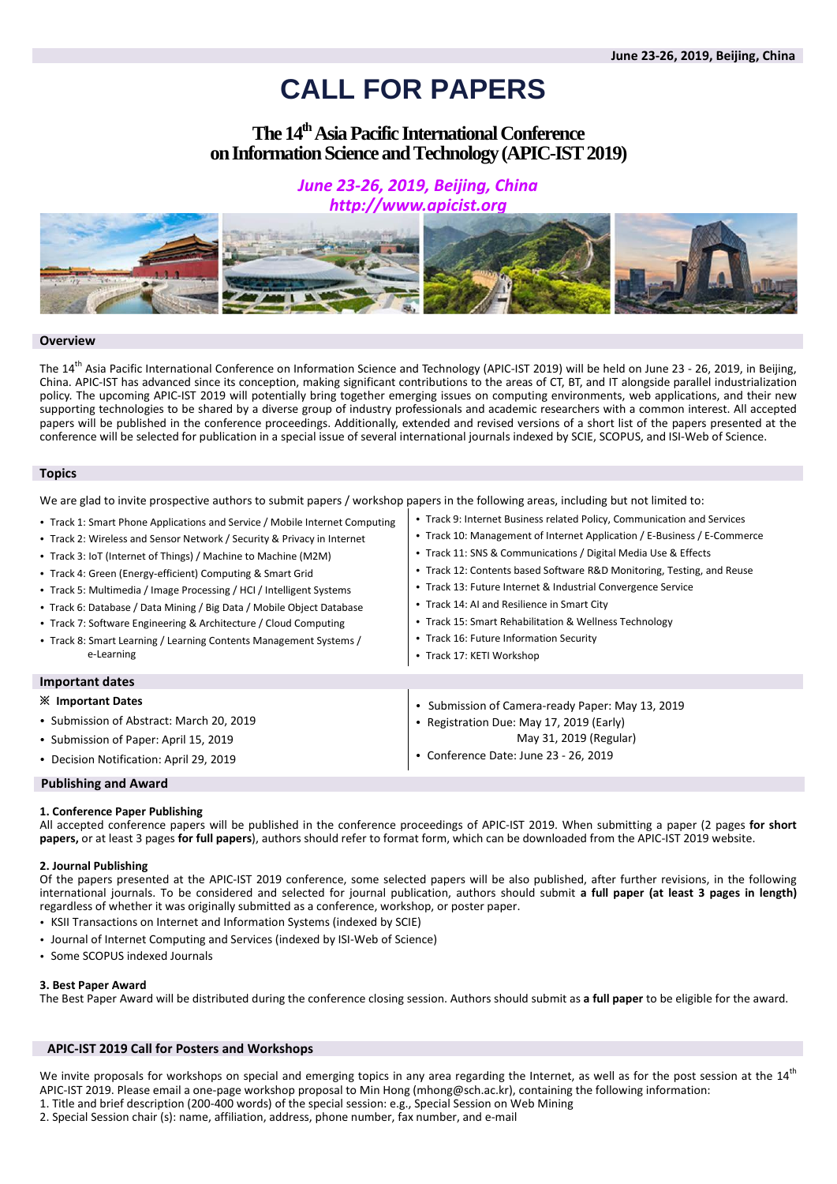# **CALL FOR PAPERS**

# **The 14 thAsia Pacific International Conference on Information Science and Technology(APIC-IST2019)**

# *June 23-26, 2019, Beijing, China http://www.apicist.org*



## **Overview**

The 14<sup>th</sup> Asia Pacific International Conference on Information Science and Technology (APIC-IST 2019) will be held on June 23 - 26, 2019, in Beijing, China. APIC-IST has advanced since its conception, making significant contributions to the areas of CT, BT, and IT alongside parallel industrialization policy. The upcoming APIC-IST 2019 will potentially bring together emerging issues on computing environments, web applications, and their new supporting technologies to be shared by a diverse group of industry professionals and academic researchers with a common interest. All accepted papers will be published in the conference proceedings. Additionally, extended and revised versions of a short list of the papers presented at the conference will be selected for publication in a special issue of several international journals indexed by SCIE, SCOPUS, and ISI-Web of Science.

## **Topics**

We are glad to invite prospective authors to submit papers / workshop papers in the following areas, including but not limited to:

| • Track 1: Smart Phone Applications and Service / Mobile Internet Computing<br>• Track 2: Wireless and Sensor Network / Security & Privacy in Internet<br>• Track 3: IoT (Internet of Things) / Machine to Machine (M2M)<br>• Track 4: Green (Energy-efficient) Computing & Smart Grid<br>• Track 5: Multimedia / Image Processing / HCI / Intelligent Systems<br>• Track 6: Database / Data Mining / Big Data / Mobile Object Database<br>• Track 7: Software Engineering & Architecture / Cloud Computing<br>• Track 8: Smart Learning / Learning Contents Management Systems /<br>e-Learning | • Track 9: Internet Business related Policy, Communication and Services<br>• Track 10: Management of Internet Application / E-Business / E-Commerce<br>• Track 11: SNS & Communications / Digital Media Use & Effects<br>• Track 12: Contents based Software R&D Monitoring, Testing, and Reuse<br>• Track 13: Future Internet & Industrial Convergence Service<br>• Track 14: AI and Resilience in Smart City<br>• Track 15: Smart Rehabilitation & Wellness Technology<br>• Track 16: Future Information Security<br>• Track 17: KETI Workshop |
|-------------------------------------------------------------------------------------------------------------------------------------------------------------------------------------------------------------------------------------------------------------------------------------------------------------------------------------------------------------------------------------------------------------------------------------------------------------------------------------------------------------------------------------------------------------------------------------------------|--------------------------------------------------------------------------------------------------------------------------------------------------------------------------------------------------------------------------------------------------------------------------------------------------------------------------------------------------------------------------------------------------------------------------------------------------------------------------------------------------------------------------------------------------|
| Important dates                                                                                                                                                                                                                                                                                                                                                                                                                                                                                                                                                                                 |                                                                                                                                                                                                                                                                                                                                                                                                                                                                                                                                                  |
| <b>X</b> Important Dates                                                                                                                                                                                                                                                                                                                                                                                                                                                                                                                                                                        | • Submission of Camera-ready Paper: May 13, 2019                                                                                                                                                                                                                                                                                                                                                                                                                                                                                                 |
| • Submission of Abstract: March 20, 2019                                                                                                                                                                                                                                                                                                                                                                                                                                                                                                                                                        | • Registration Due: May 17, 2019 (Early)                                                                                                                                                                                                                                                                                                                                                                                                                                                                                                         |
| • Submission of Paper: April 15, 2019                                                                                                                                                                                                                                                                                                                                                                                                                                                                                                                                                           | May 31, 2019 (Regular)                                                                                                                                                                                                                                                                                                                                                                                                                                                                                                                           |
| • Decision Notification: April 29, 2019                                                                                                                                                                                                                                                                                                                                                                                                                                                                                                                                                         | Conference Date: June 23 - 26, 2019                                                                                                                                                                                                                                                                                                                                                                                                                                                                                                              |

# **Publishing and Award**

#### **1. Conference Paper Publishing**

All accepted conference papers will be published in the conference proceedings of APIC-IST 2019. When submitting a paper (2 pages **for short papers,** or at least 3 pages **for full papers**), authors should refer to format form, which can be downloaded from the APIC-IST 2019 website.

#### **2. Journal Publishing**

Of the papers presented at the APIC-IST 2019 conference, some selected papers will be also published, after further revisions, in the following international journals. To be considered and selected for journal publication, authors should submit **a full paper (at least 3 pages in length)** regardless of whether it was originally submitted as a conference, workshop, or poster paper.

- KSII Transactions on Internet and Information Systems (indexed by SCIE)
- Journal of Internet Computing and Services (indexed by ISI-Web of Science)
- Some SCOPUS indexed Journals

#### **3. Best Paper Award**

The Best Paper Award will be distributed during the conference closing session. Authors should submit as **a full paper** to be eligible for the award.

#### **APIC-IST 2019 Call for Posters and Workshops**

We invite proposals for workshops on special and emerging topics in any area regarding the Internet, as well as for the post session at the 14<sup>th</sup> APIC-IST 2019. Please email a one-page workshop proposal to Min Hong (mhong@sch.ac.kr), containing the following information: 1. Title and brief description (200-400 words) of the special session: e.g., Special Session on Web Mining

2. Special Session chair (s): name, affiliation, address, phone number, fax number, and e-mail